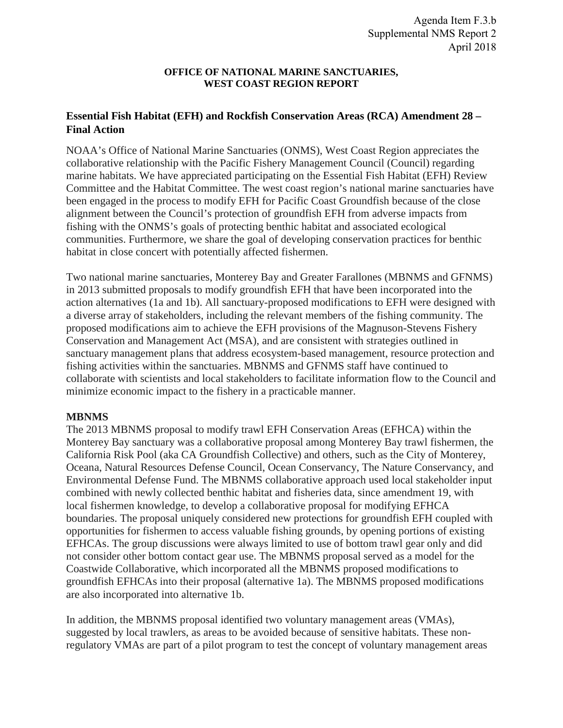#### **OFFICE OF NATIONAL MARINE SANCTUARIES, WEST COAST REGION REPORT**

# **Essential Fish Habitat (EFH) and Rockfish Conservation Areas (RCA) Amendment 28 – Final Action**

NOAA's Office of National Marine Sanctuaries (ONMS), West Coast Region appreciates the collaborative relationship with the Pacific Fishery Management Council (Council) regarding marine habitats. We have appreciated participating on the Essential Fish Habitat (EFH) Review Committee and the Habitat Committee. The west coast region's national marine sanctuaries have been engaged in the process to modify EFH for Pacific Coast Groundfish because of the close alignment between the Council's protection of groundfish EFH from adverse impacts from fishing with the ONMS's goals of protecting benthic habitat and associated ecological communities. Furthermore, we share the goal of developing conservation practices for benthic habitat in close concert with potentially affected fishermen.

Two national marine sanctuaries, Monterey Bay and Greater Farallones (MBNMS and GFNMS) in 2013 submitted proposals to modify groundfish EFH that have been incorporated into the action alternatives (1a and 1b). All sanctuary-proposed modifications to EFH were designed with a diverse array of stakeholders, including the relevant members of the fishing community. The proposed modifications aim to achieve the EFH provisions of the Magnuson-Stevens Fishery Conservation and Management Act (MSA), and are consistent with strategies outlined in sanctuary management plans that address ecosystem-based management, resource protection and fishing activities within the sanctuaries. MBNMS and GFNMS staff have continued to collaborate with scientists and local stakeholders to facilitate information flow to the Council and minimize economic impact to the fishery in a practicable manner.

### **MBNMS**

The 2013 MBNMS proposal to modify trawl EFH Conservation Areas (EFHCA) within the Monterey Bay sanctuary was a collaborative proposal among Monterey Bay trawl fishermen, the California Risk Pool (aka CA Groundfish Collective) and others, such as the City of Monterey, Oceana, Natural Resources Defense Council, Ocean Conservancy, The Nature Conservancy, and Environmental Defense Fund. The MBNMS collaborative approach used local stakeholder input combined with newly collected benthic habitat and fisheries data, since amendment 19, with local fishermen knowledge, to develop a collaborative proposal for modifying EFHCA boundaries. The proposal uniquely considered new protections for groundfish EFH coupled with opportunities for fishermen to access valuable fishing grounds, by opening portions of existing EFHCAs. The group discussions were always limited to use of bottom trawl gear only and did not consider other bottom contact gear use. The MBNMS proposal served as a model for the Coastwide Collaborative, which incorporated all the MBNMS proposed modifications to groundfish EFHCAs into their proposal (alternative 1a). The MBNMS proposed modifications are also incorporated into alternative 1b.

In addition, the MBNMS proposal identified two voluntary management areas (VMAs), suggested by local trawlers, as areas to be avoided because of sensitive habitats. These nonregulatory VMAs are part of a pilot program to test the concept of voluntary management areas